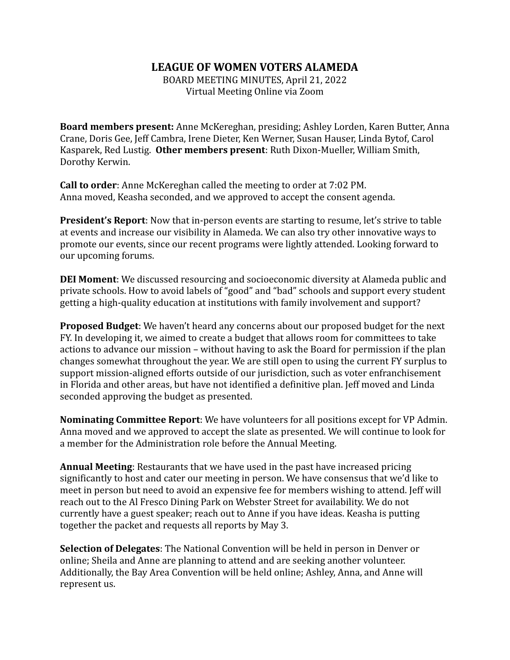## **LEAGUE OF WOMEN VOTERS ALAMEDA**

BOARD MEETING MINUTES, April 21, 2022 Virtual Meeting Online via Zoom

**Board members present:** Anne McKereghan, presiding; Ashley Lorden, Karen Butter, Anna Crane, Doris Gee, Jeff Cambra, Irene Dieter, Ken Werner, Susan Hauser, Linda Bytof, Carol Kasparek, Red Lustig. **Other members present**: Ruth Dixon-Mueller, William Smith, Dorothy Kerwin.

**Call to order**: Anne McKereghan called the meeting to order at 7:02 PM. Anna moved, Keasha seconded, and we approved to accept the consent agenda.

**President's Report**: Now that in-person events are starting to resume, let's strive to table at events and increase our visibility in Alameda. We can also try other innovative ways to promote our events, since our recent programs were lightly attended. Looking forward to our upcoming forums.

**DEI Moment**: We discussed resourcing and socioeconomic diversity at Alameda public and private schools. How to avoid labels of "good" and "bad" schools and support every student getting a high-quality education at institutions with family involvement and support?

**Proposed Budget**: We haven't heard any concerns about our proposed budget for the next FY. In developing it, we aimed to create a budget that allows room for committees to take actions to advance our mission – without having to ask the Board for permission if the plan changes somewhat throughout the year. We are still open to using the current FY surplus to support mission-aligned efforts outside of our jurisdiction, such as voter enfranchisement in Florida and other areas, but have not identified a definitive plan. Jeff moved and Linda seconded approving the budget as presented.

**Nominating Committee Report**: We have volunteers for all positions except for VP Admin. Anna moved and we approved to accept the slate as presented. We will continue to look for a member for the Administration role before the Annual Meeting.

**Annual Meeting**: Restaurants that we have used in the past have increased pricing significantly to host and cater our meeting in person. We have consensus that we'd like to meet in person but need to avoid an expensive fee for members wishing to attend. Jeff will reach out to the Al Fresco Dining Park on Webster Street for availability. We do not currently have a guest speaker; reach out to Anne if you have ideas. Keasha is putting together the packet and requests all reports by May 3.

**Selection of Delegates**: The National Convention will be held in person in Denver or online; Sheila and Anne are planning to attend and are seeking another volunteer. Additionally, the Bay Area Convention will be held online; Ashley, Anna, and Anne will represent us.